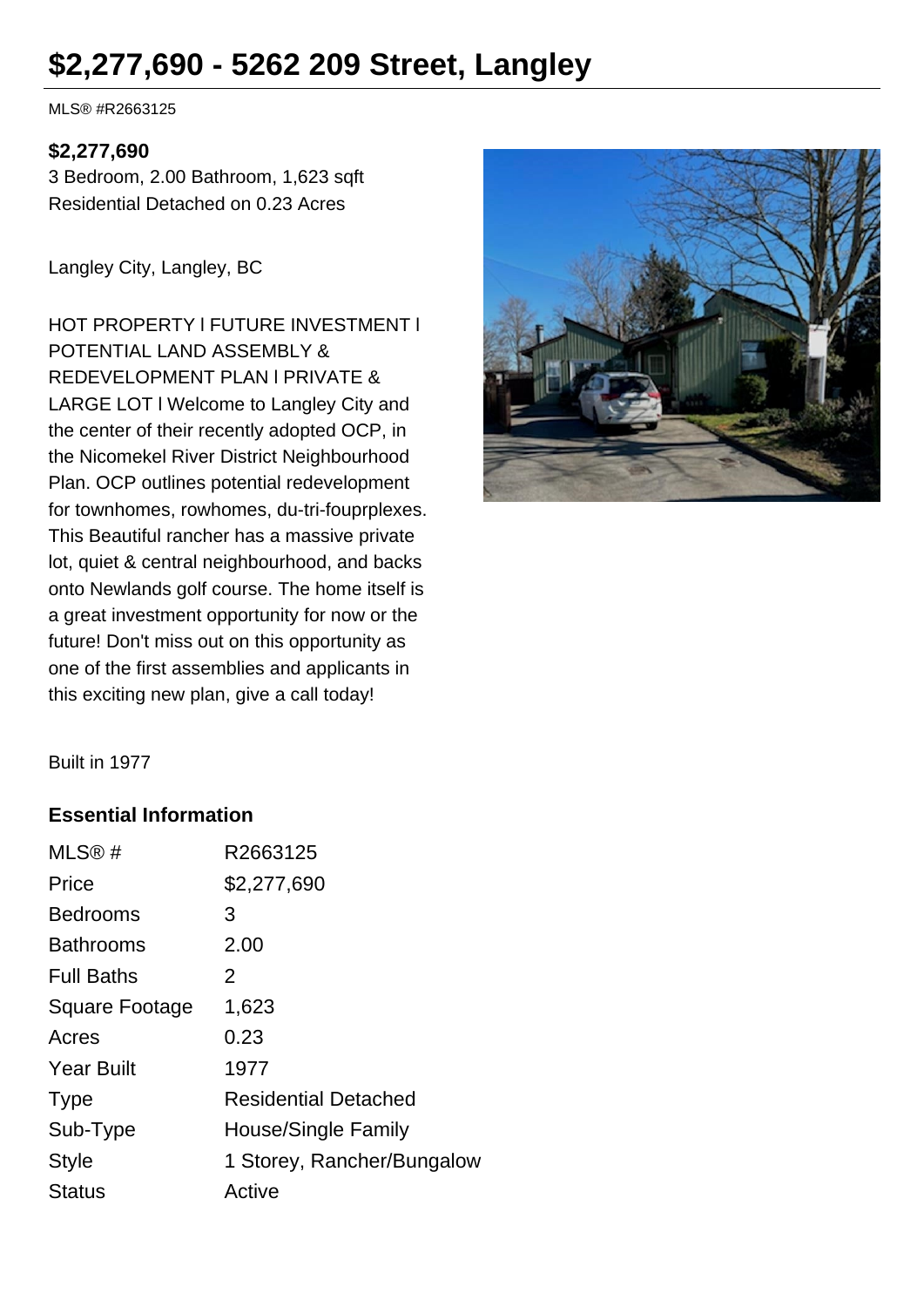# **\$2,277,690 - 5262 209 Street, Langley**

MLS® #R2663125

#### **\$2,277,690**

3 Bedroom, 2.00 Bathroom, 1,623 sqft Residential Detached on 0.23 Acres

Langley City, Langley, BC

HOT PROPERTY l FUTURE INVESTMENT l POTENTIAL LAND ASSEMBLY & REDEVELOPMENT PLAN l PRIVATE & LARGE LOT l Welcome to Langley City and the center of their recently adopted OCP, in the Nicomekel River District Neighbourhood Plan. OCP outlines potential redevelopment for townhomes, rowhomes, du-tri-fouprplexes. This Beautiful rancher has a massive private lot, quiet & central neighbourhood, and backs onto Newlands golf course. The home itself is a great investment opportunity for now or the future! Don't miss out on this opportunity as one of the first assemblies and applicants in this exciting new plan, give a call today!



Built in 1977

#### **Essential Information**

| R2663125                    |
|-----------------------------|
| \$2,277,690                 |
| 3                           |
| 2.00                        |
| 2                           |
| 1,623                       |
| 0.23                        |
| 1977                        |
| <b>Residential Detached</b> |
| House/Single Family         |
| 1 Storey, Rancher/Bungalow  |
| Active                      |
|                             |